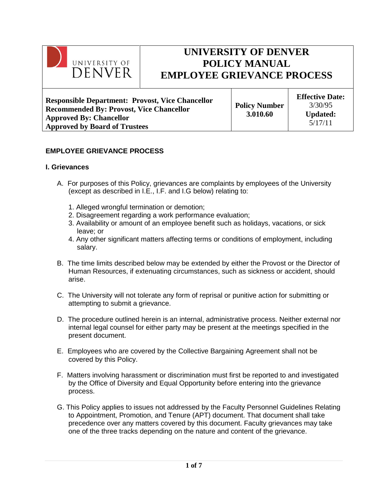

# **UNIVERSITY OF DENVER POLICY MANUAL EMPLOYEE GRIEVANCE PROCESS**

**Responsible Department: Provost, Vice Chancellor Recommended By: Provost, Vice Chancellor Approved By: Chancellor Approved by Board of Trustees**

**Policy Number 3.010.60**

**Effective Date:** 3/30/95 **Updated:** 5/17/11

# **EMPLOYEE GRIEVANCE PROCESS**

## **I. Grievances**

- A. For purposes of this Policy, grievances are complaints by employees of the University (except as described in I.E., I.F. and I.G below) relating to:
	- 1. Alleged wrongful termination or demotion;
	- 2. Disagreement regarding a work performance evaluation;
	- 3. Availability or amount of an employee benefit such as holidays, vacations, or sick leave; or
	- 4. Any other significant matters affecting terms or conditions of employment, including salary.
- B. The time limits described below may be extended by either the Provost or the Director of Human Resources, if extenuating circumstances, such as sickness or accident, should arise.
- C. The University will not tolerate any form of reprisal or punitive action for submitting or attempting to submit a grievance.
- D. The procedure outlined herein is an internal, administrative process. Neither external nor internal legal counsel for either party may be present at the meetings specified in the present document.
- E. Employees who are covered by the Collective Bargaining Agreement shall not be covered by this Policy.
- F. Matters involving harassment or discrimination must first be reported to and investigated by the Office of Diversity and Equal Opportunity before entering into the grievance process.
- G. This Policy applies to issues not addressed by the Faculty Personnel Guidelines Relating to Appointment, Promotion, and Tenure (APT) document. That document shall take precedence over any matters covered by this document. Faculty grievances may take one of the three tracks depending on the nature and content of the grievance.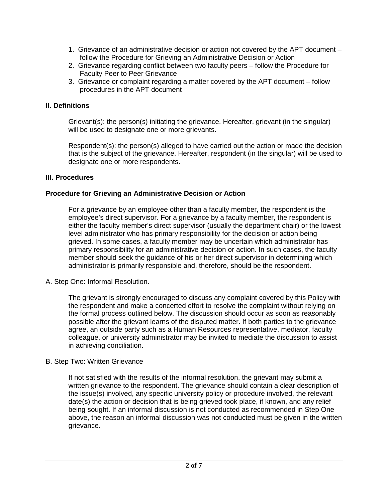- 1. Grievance of an administrative decision or action not covered by the APT document follow the Procedure for Grieving an Administrative Decision or Action
- 2. Grievance regarding conflict between two faculty peers follow the Procedure for Faculty Peer to Peer Grievance
- 3. Grievance or complaint regarding a matter covered by the APT document follow procedures in the APT document

## **II. Definitions**

Grievant(s): the person(s) initiating the grievance. Hereafter, grievant (in the singular) will be used to designate one or more grievants.

Respondent(s): the person(s) alleged to have carried out the action or made the decision that is the subject of the grievance. Hereafter, respondent (in the singular) will be used to designate one or more respondents.

### **III. Procedures**

## **Procedure for Grieving an Administrative Decision or Action**

For a grievance by an employee other than a faculty member, the respondent is the employee's direct supervisor. For a grievance by a faculty member, the respondent is either the faculty member's direct supervisor (usually the department chair) or the lowest level administrator who has primary responsibility for the decision or action being grieved. In some cases, a faculty member may be uncertain which administrator has primary responsibility for an administrative decision or action. In such cases, the faculty member should seek the guidance of his or her direct supervisor in determining which administrator is primarily responsible and, therefore, should be the respondent.

#### A. Step One: Informal Resolution.

The grievant is strongly encouraged to discuss any complaint covered by this Policy with the respondent and make a concerted effort to resolve the complaint without relying on the formal process outlined below. The discussion should occur as soon as reasonably possible after the grievant learns of the disputed matter. If both parties to the grievance agree, an outside party such as a Human Resources representative, mediator, faculty colleague, or university administrator may be invited to mediate the discussion to assist in achieving conciliation.

#### B. Step Two: Written Grievance

If not satisfied with the results of the informal resolution, the grievant may submit a written grievance to the respondent. The grievance should contain a clear description of the issue(s) involved, any specific university policy or procedure involved, the relevant date(s) the action or decision that is being grieved took place, if known, and any relief being sought. If an informal discussion is not conducted as recommended in Step One above, the reason an informal discussion was not conducted must be given in the written grievance.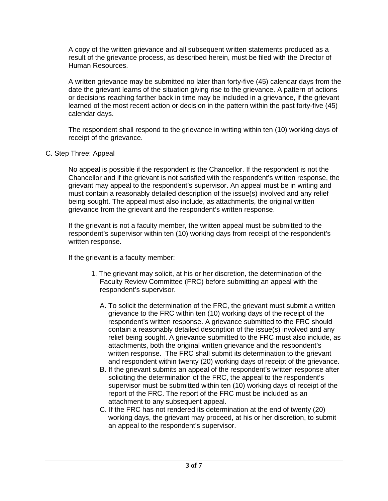A copy of the written grievance and all subsequent written statements produced as a result of the grievance process, as described herein, must be filed with the Director of Human Resources.

A written grievance may be submitted no later than forty-five (45) calendar days from the date the grievant learns of the situation giving rise to the grievance. A pattern of actions or decisions reaching farther back in time may be included in a grievance, if the grievant learned of the most recent action or decision in the pattern within the past forty-five (45) calendar days.

The respondent shall respond to the grievance in writing within ten (10) working days of receipt of the grievance.

## C. Step Three: Appeal

No appeal is possible if the respondent is the Chancellor. If the respondent is not the Chancellor and if the grievant is not satisfied with the respondent's written response, the grievant may appeal to the respondent's supervisor. An appeal must be in writing and must contain a reasonably detailed description of the issue(s) involved and any relief being sought. The appeal must also include, as attachments, the original written grievance from the grievant and the respondent's written response.

If the grievant is not a faculty member, the written appeal must be submitted to the respondent's supervisor within ten (10) working days from receipt of the respondent's written response.

If the grievant is a faculty member:

- 1. The grievant may solicit, at his or her discretion, the determination of the Faculty Review Committee (FRC) before submitting an appeal with the respondent's supervisor.
	- A. To solicit the determination of the FRC, the grievant must submit a written grievance to the FRC within ten (10) working days of the receipt of the respondent's written response. A grievance submitted to the FRC should contain a reasonably detailed description of the issue(s) involved and any relief being sought. A grievance submitted to the FRC must also include, as attachments, both the original written grievance and the respondent's written response. The FRC shall submit its determination to the grievant and respondent within twenty (20) working days of receipt of the grievance.
	- B. If the grievant submits an appeal of the respondent's written response after soliciting the determination of the FRC, the appeal to the respondent's supervisor must be submitted within ten (10) working days of receipt of the report of the FRC. The report of the FRC must be included as an attachment to any subsequent appeal.
	- C. If the FRC has not rendered its determination at the end of twenty (20) working days, the grievant may proceed, at his or her discretion, to submit an appeal to the respondent's supervisor.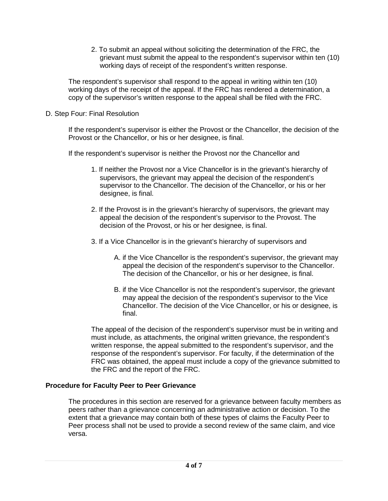2. To submit an appeal without soliciting the determination of the FRC, the grievant must submit the appeal to the respondent's supervisor within ten (10) working days of receipt of the respondent's written response.

The respondent's supervisor shall respond to the appeal in writing within ten (10) working days of the receipt of the appeal. If the FRC has rendered a determination, a copy of the supervisor's written response to the appeal shall be filed with the FRC.

D. Step Four: Final Resolution

If the respondent's supervisor is either the Provost or the Chancellor, the decision of the Provost or the Chancellor, or his or her designee, is final.

If the respondent's supervisor is neither the Provost nor the Chancellor and

- 1. If neither the Provost nor a Vice Chancellor is in the grievant's hierarchy of supervisors, the grievant may appeal the decision of the respondent's supervisor to the Chancellor. The decision of the Chancellor, or his or her designee, is final.
- 2. If the Provost is in the grievant's hierarchy of supervisors, the grievant may appeal the decision of the respondent's supervisor to the Provost. The decision of the Provost, or his or her designee, is final.
- 3. If a Vice Chancellor is in the grievant's hierarchy of supervisors and
	- A. if the Vice Chancellor is the respondent's supervisor, the grievant may appeal the decision of the respondent's supervisor to the Chancellor. The decision of the Chancellor, or his or her designee, is final.
	- B. if the Vice Chancellor is not the respondent's supervisor, the grievant may appeal the decision of the respondent's supervisor to the Vice Chancellor. The decision of the Vice Chancellor, or his or designee, is final.

The appeal of the decision of the respondent's supervisor must be in writing and must include, as attachments, the original written grievance, the respondent's written response, the appeal submitted to the respondent's supervisor, and the response of the respondent's supervisor. For faculty, if the determination of the FRC was obtained, the appeal must include a copy of the grievance submitted to the FRC and the report of the FRC.

# **Procedure for Faculty Peer to Peer Grievance**

The procedures in this section are reserved for a grievance between faculty members as peers rather than a grievance concerning an administrative action or decision. To the extent that a grievance may contain both of these types of claims the Faculty Peer to Peer process shall not be used to provide a second review of the same claim, and vice versa.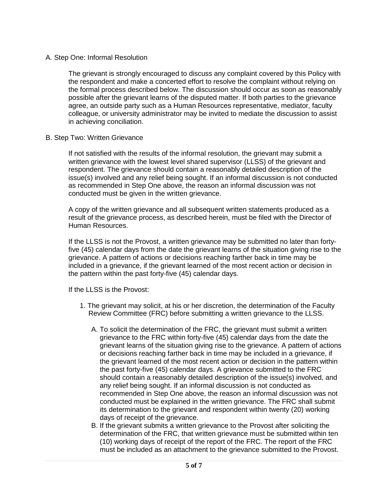## A. Step One: Informal Resolution

The grievant is strongly encouraged to discuss any complaint covered by this Policy with the respondent and make a concerted effort to resolve the complaint without relying on the formal process described below. The discussion should occur as soon as reasonably possible after the grievant learns of the disputed matter. If both parties to the grievance agree, an outside party such as a Human Resources representative, mediator, faculty colleague, or university administrator may be invited to mediate the discussion to assist in achieving conciliation.

## B. Step Two: Written Grievance

If not satisfied with the results of the informal resolution, the grievant may submit a written grievance with the lowest level shared supervisor (LLSS) of the grievant and respondent. The grievance should contain a reasonably detailed description of the issue(s) involved and any relief being sought. If an informal discussion is not conducted as recommended in Step One above, the reason an informal discussion was not conducted must be given in the written grievance.

A copy of the written grievance and all subsequent written statements produced as a result of the grievance process, as described herein, must be filed with the Director of Human Resources.

If the LLSS is not the Provost, a written grievance may be submitted no later than fortyfive (45) calendar days from the date the grievant learns of the situation giving rise to the grievance. A pattern of actions or decisions reaching farther back in time may be included in a grievance, if the grievant learned of the most recent action or decision in the pattern within the past forty-five (45) calendar days.

If the LLSS is the Provost:

- 1. The grievant may solicit, at his or her discretion, the determination of the Faculty Review Committee (FRC) before submitting a written grievance to the LLSS.
	- A. To solicit the determination of the FRC, the grievant must submit a written grievance to the FRC within forty-five (45) calendar days from the date the grievant learns of the situation giving rise to the grievance. A pattern of actions or decisions reaching farther back in time may be included in a grievance, if the grievant learned of the most recent action or decision in the pattern within the past forty-five (45) calendar days. A grievance submitted to the FRC should contain a reasonably detailed description of the issue(s) involved, and any relief being sought. If an informal discussion is not conducted as recommended in Step One above, the reason an informal discussion was not conducted must be explained in the written grievance. The FRC shall submit its determination to the grievant and respondent within twenty (20) working days of receipt of the grievance.
	- B. If the grievant submits a written grievance to the Provost after soliciting the determination of the FRC, that written grievance must be submitted within ten (10) working days of receipt of the report of the FRC. The report of the FRC must be included as an attachment to the grievance submitted to the Provost.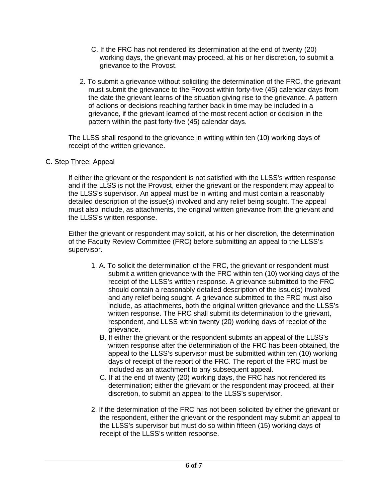- C. If the FRC has not rendered its determination at the end of twenty (20) working days, the grievant may proceed, at his or her discretion, to submit a grievance to the Provost.
- 2. To submit a grievance without soliciting the determination of the FRC, the grievant must submit the grievance to the Provost within forty-five (45) calendar days from the date the grievant learns of the situation giving rise to the grievance. A pattern of actions or decisions reaching farther back in time may be included in a grievance, if the grievant learned of the most recent action or decision in the pattern within the past forty-five (45) calendar days.

The LLSS shall respond to the grievance in writing within ten (10) working days of receipt of the written grievance.

C. Step Three: Appeal

If either the grievant or the respondent is not satisfied with the LLSS's written response and if the LLSS is not the Provost, either the grievant or the respondent may appeal to the LLSS's supervisor. An appeal must be in writing and must contain a reasonably detailed description of the issue(s) involved and any relief being sought. The appeal must also include, as attachments, the original written grievance from the grievant and the LLSS's written response.

Either the grievant or respondent may solicit, at his or her discretion, the determination of the Faculty Review Committee (FRC) before submitting an appeal to the LLSS's supervisor.

- 1. A. To solicit the determination of the FRC, the grievant or respondent must submit a written grievance with the FRC within ten (10) working days of the receipt of the LLSS's written response. A grievance submitted to the FRC should contain a reasonably detailed description of the issue(s) involved and any relief being sought. A grievance submitted to the FRC must also include, as attachments, both the original written grievance and the LLSS's written response. The FRC shall submit its determination to the grievant, respondent, and LLSS within twenty (20) working days of receipt of the grievance.
	- B. If either the grievant or the respondent submits an appeal of the LLSS's written response after the determination of the FRC has been obtained, the appeal to the LLSS's supervisor must be submitted within ten (10) working days of receipt of the report of the FRC. The report of the FRC must be included as an attachment to any subsequent appeal.
	- C. If at the end of twenty (20) working days, the FRC has not rendered its determination; either the grievant or the respondent may proceed, at their discretion, to submit an appeal to the LLSS's supervisor.
- 2. If the determination of the FRC has not been solicited by either the grievant or the respondent, either the grievant or the respondent may submit an appeal to the LLSS's supervisor but must do so within fifteen (15) working days of receipt of the LLSS's written response.